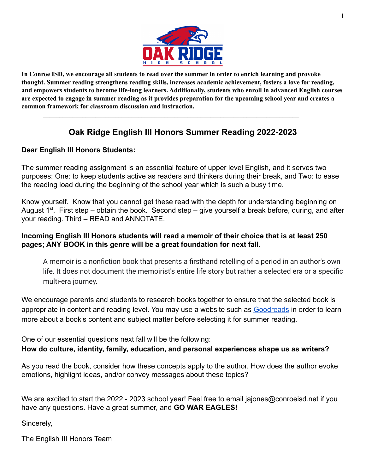

In Conroe ISD, we encourage all students to read over the summer in order to enrich learning and provoke **thought. Summer reading strengthens reading skills, increases academic achievement, fosters a love for reading, and empowers students to become life-long learners. Additionally, students who enroll in advanced English courses** are expected to engage in summer reading as it provides preparation for the upcoming school year and creates a **common framework for classroom discussion and instruction.**

# **Oak Ridge English III Honors Summer Reading 2022-2023**

 $\mathcal{L}_\mathcal{L} = \{ \mathcal{L}_\mathcal{L} = \{ \mathcal{L}_\mathcal{L} = \{ \mathcal{L}_\mathcal{L} = \{ \mathcal{L}_\mathcal{L} = \{ \mathcal{L}_\mathcal{L} = \{ \mathcal{L}_\mathcal{L} = \{ \mathcal{L}_\mathcal{L} = \{ \mathcal{L}_\mathcal{L} = \{ \mathcal{L}_\mathcal{L} = \{ \mathcal{L}_\mathcal{L} = \{ \mathcal{L}_\mathcal{L} = \{ \mathcal{L}_\mathcal{L} = \{ \mathcal{L}_\mathcal{L} = \{ \mathcal{L}_\mathcal{$ 

## **Dear English III Honors Students:**

The summer reading assignment is an essential feature of upper level English, and it serves two purposes: One: to keep students active as readers and thinkers during their break, and Two: to ease the reading load during the beginning of the school year which is such a busy time.

Know yourself. Know that you cannot get these read with the depth for understanding beginning on August  $1^{st}$ . First step – obtain the book. Second step – give yourself a break before, during, and after your reading. Third – READ and ANNOTATE.

### **Incoming English III Honors students will read a memoir of their choice that is at least 250 pages; ANY BOOK in this genre will be a great foundation for next fall.**

A memoir is a nonfiction book that presents a firsthand retelling of a period in an author's own life. It does not document the memoirist's entire life story but rather a selected era or a specific multi-era journey.

We encourage parents and students to research books together to ensure that the selected book is appropriate in content and reading level. You may use a website such as [Goodreads](https://www.goodreads.com/) in order to learn more about a book's content and subject matter before selecting it for summer reading.

One of our essential questions next fall will be the following: **How do culture, identity, family, education, and personal experiences shape us as writers?**

As you read the book, consider how these concepts apply to the author. How does the author evoke emotions, highlight ideas, and/or convey messages about these topics?

We are excited to start the 2022 - 2023 school year! Feel free to email jajones@conroeisd.net if you have any questions. Have a great summer, and **GO WAR EAGLES!**

Sincerely,

The English III Honors Team